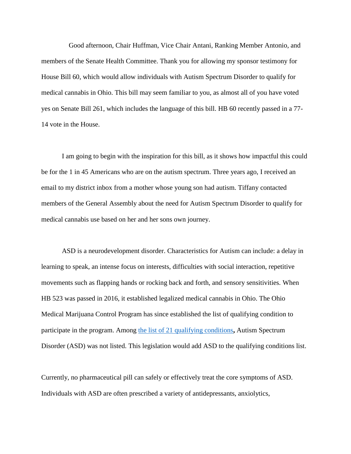Good afternoon, Chair Huffman, Vice Chair Antani, Ranking Member Antonio, and members of the Senate Health Committee. Thank you for allowing my sponsor testimony for House Bill 60, which would allow individuals with Autism Spectrum Disorder to qualify for medical cannabis in Ohio. This bill may seem familiar to you, as almost all of you have voted yes on Senate Bill 261, which includes the language of this bill. HB 60 recently passed in a 77- 14 vote in the House.

I am going to begin with the inspiration for this bill, as it shows how impactful this could be for the 1 in 45 Americans who are on the autism spectrum. Three years ago, I received an email to my district inbox from a mother whose young son had autism. Tiffany contacted members of the General Assembly about the need for Autism Spectrum Disorder to qualify for medical cannabis use based on her and her sons own journey.

ASD is a neurodevelopment disorder. Characteristics for Autism can include: a delay in learning to speak, an intense focus on interests, difficulties with social interaction, repetitive movements such as flapping hands or rocking back and forth, and sensory sensitivities. When HB 523 was passed in 2016, it established legalized medical cannabis in Ohio. The Ohio Medical Marijuana Control Program has since established the list of qualifying condition to participate in the program. Among [the list of 21 qualifying conditions](http://codes.ohio.gov/orc/3796.01)**,** Autism Spectrum Disorder (ASD) was not listed. This legislation would add ASD to the qualifying conditions list.

Currently, no pharmaceutical pill can safely or effectively treat the core symptoms of ASD. Individuals with ASD are often prescribed a variety of antidepressants, anxiolytics,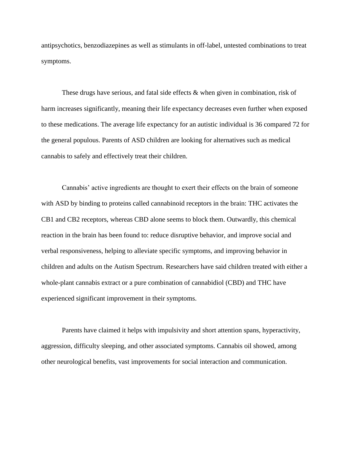antipsychotics, benzodiazepines as well as stimulants in off-label, untested combinations to treat symptoms.

These drugs have serious, and fatal side effects & when given in combination, risk of harm increases significantly, meaning their life expectancy decreases even further when exposed to these medications. The average life expectancy for an autistic individual is 36 compared 72 for the general populous. Parents of ASD children are looking for alternatives such as medical cannabis to safely and effectively treat their children.

Cannabis' active ingredients are thought to exert their effects on the brain of someone with ASD by binding to proteins called cannabinoid receptors in the brain: THC activates the CB1 and CB2 receptors, whereas CBD alone seems to block them. Outwardly, this chemical reaction in the brain has been found to: reduce disruptive behavior, and improve social and verbal responsiveness, helping to alleviate specific symptoms, and improving behavior in children and adults on the Autism Spectrum. Researchers have said children treated with either a whole-plant cannabis extract or a pure combination of cannabidiol (CBD) and THC have experienced significant improvement in their symptoms.

Parents have claimed it helps with impulsivity and short attention spans, hyperactivity, aggression, difficulty sleeping, and other associated symptoms. Cannabis oil showed, among other neurological benefits, vast improvements for social interaction and communication.